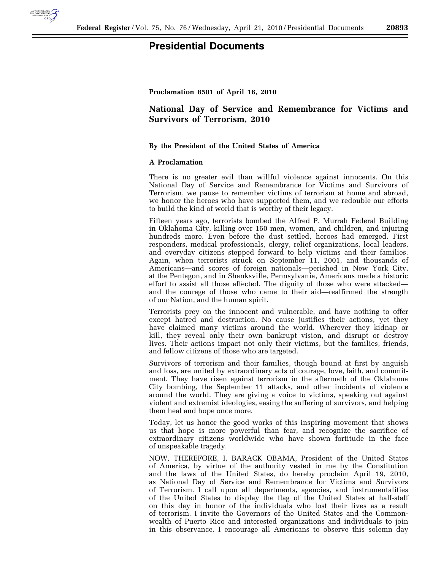

**Proclamation 8501 of April 16, 2010** 

## **National Day of Service and Remembrance for Victims and Survivors of Terrorism, 2010**

## **By the President of the United States of America**

## **A Proclamation**

There is no greater evil than willful violence against innocents. On this National Day of Service and Remembrance for Victims and Survivors of Terrorism, we pause to remember victims of terrorism at home and abroad, we honor the heroes who have supported them, and we redouble our efforts to build the kind of world that is worthy of their legacy.

Fifteen years ago, terrorists bombed the Alfred P. Murrah Federal Building in Oklahoma City, killing over 160 men, women, and children, and injuring hundreds more. Even before the dust settled, heroes had emerged. First responders, medical professionals, clergy, relief organizations, local leaders, and everyday citizens stepped forward to help victims and their families. Again, when terrorists struck on September 11, 2001, and thousands of Americans—and scores of foreign nationals—perished in New York City, at the Pentagon, and in Shanksville, Pennsylvania, Americans made a historic effort to assist all those affected. The dignity of those who were attacked and the courage of those who came to their aid—reaffirmed the strength of our Nation, and the human spirit.

Terrorists prey on the innocent and vulnerable, and have nothing to offer except hatred and destruction. No cause justifies their actions, yet they have claimed many victims around the world. Wherever they kidnap or kill, they reveal only their own bankrupt vision, and disrupt or destroy lives. Their actions impact not only their victims, but the families, friends, and fellow citizens of those who are targeted.

Survivors of terrorism and their families, though bound at first by anguish and loss, are united by extraordinary acts of courage, love, faith, and commitment. They have risen against terrorism in the aftermath of the Oklahoma City bombing, the September 11 attacks, and other incidents of violence around the world. They are giving a voice to victims, speaking out against violent and extremist ideologies, easing the suffering of survivors, and helping them heal and hope once more.

Today, let us honor the good works of this inspiring movement that shows us that hope is more powerful than fear, and recognize the sacrifice of extraordinary citizens worldwide who have shown fortitude in the face of unspeakable tragedy.

NOW, THEREFORE, I, BARACK OBAMA, President of the United States of America, by virtue of the authority vested in me by the Constitution and the laws of the United States, do hereby proclaim April 19, 2010, as National Day of Service and Remembrance for Victims and Survivors of Terrorism. I call upon all departments, agencies, and instrumentalities of the United States to display the flag of the United States at half-staff on this day in honor of the individuals who lost their lives as a result of terrorism. I invite the Governors of the United States and the Commonwealth of Puerto Rico and interested organizations and individuals to join in this observance. I encourage all Americans to observe this solemn day